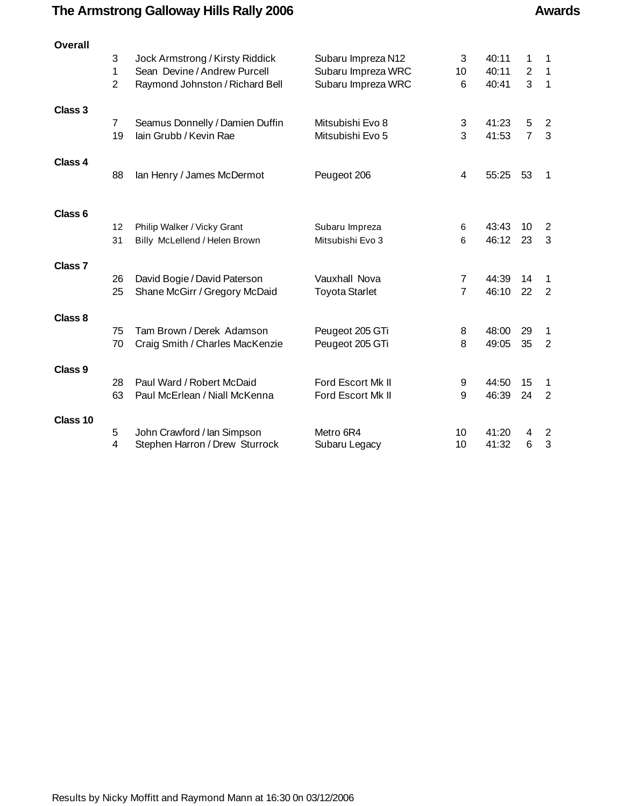# **The Armstrong Galloway Hills Rally 2006 Awards Awards**

| <b>Overall</b>     |                |                                 |                       |                |       |                  |                |
|--------------------|----------------|---------------------------------|-----------------------|----------------|-------|------------------|----------------|
|                    | 3              | Jock Armstrong / Kirsty Riddick | Subaru Impreza N12    | 3              | 40:11 | 1                | 1              |
|                    | 1              | Sean Devine / Andrew Purcell    | Subaru Impreza WRC    | 10             | 40:11 | $\boldsymbol{2}$ | $\mathbf{1}$   |
|                    | $\overline{2}$ | Raymond Johnston / Richard Bell | Subaru Impreza WRC    | 6              | 40:41 | 3                | $\mathbf{1}$   |
| Class 3            |                |                                 |                       |                |       |                  |                |
|                    | $\overline{7}$ | Seamus Donnelly / Damien Duffin | Mitsubishi Evo 8      | 3              | 41:23 | 5                | $\overline{2}$ |
|                    | 19             | lain Grubb / Kevin Rae          | Mitsubishi Evo 5      | 3              | 41:53 | $\overline{7}$   | 3              |
| Class 4            |                |                                 |                       |                |       |                  |                |
|                    | 88             | lan Henry / James McDermot      | Peugeot 206           | 4              | 55:25 | 53               | 1              |
|                    |                |                                 |                       |                |       |                  |                |
| Class <sub>6</sub> | 12             | Philip Walker / Vicky Grant     | Subaru Impreza        | 6              | 43:43 | 10               | 2              |
|                    | 31             | Billy McLellend / Helen Brown   | Mitsubishi Evo 3      | 6              | 46:12 | 23               | 3              |
|                    |                |                                 |                       |                |       |                  |                |
| Class <sub>7</sub> |                |                                 |                       |                |       |                  |                |
|                    | 26             | David Bogie / David Paterson    | Vauxhall Nova         | $\overline{7}$ | 44:39 | 14               | 1              |
|                    | 25             | Shane McGirr / Gregory McDaid   | <b>Toyota Starlet</b> | $\overline{7}$ | 46:10 | 22               | 2              |
| Class 8            |                |                                 |                       |                |       |                  |                |
|                    | 75             | Tam Brown / Derek Adamson       | Peugeot 205 GTi       | 8              | 48:00 | 29               | 1              |
|                    | 70             | Craig Smith / Charles MacKenzie | Peugeot 205 GTi       | 8              | 49:05 | 35               | 2              |
| Class 9            |                |                                 |                       |                |       |                  |                |
|                    | 28             | Paul Ward / Robert McDaid       | Ford Escort Mk II     | 9              | 44:50 | 15               | 1              |
|                    | 63             | Paul McErlean / Niall McKenna   | Ford Escort Mk II     | 9              | 46:39 | 24               | $\overline{2}$ |
| Class 10           |                |                                 |                       |                |       |                  |                |
|                    | 5              | John Crawford / Ian Simpson     | Metro 6R4             | 10             | 41:20 | 4                | 2              |
|                    | 4              | Stephen Harron / Drew Sturrock  | Subaru Legacy         | 10             | 41:32 | 6                | 3              |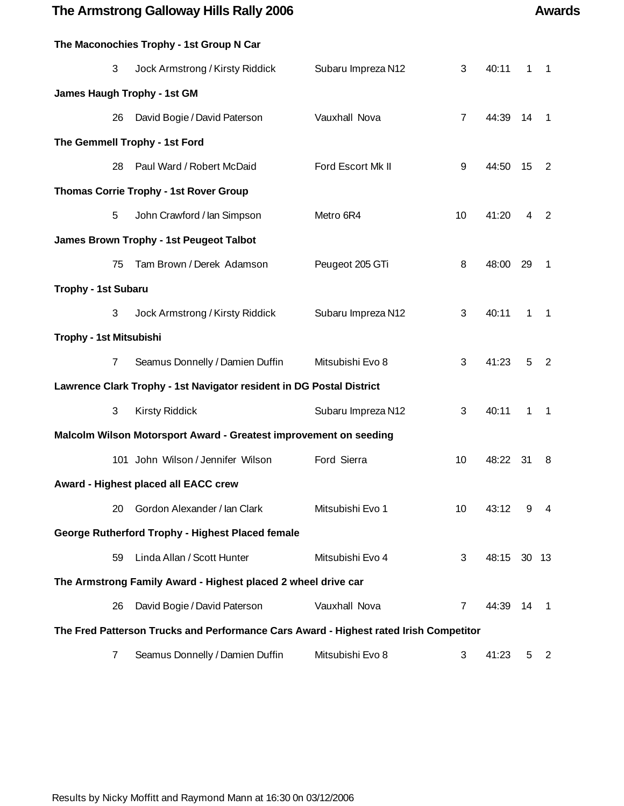### **The Armstrong Galloway Hills Rally 2006 Awards Awards**

# **The Maconochies Trophy - 1st Group N Car** 3 Jock Armstrong / Kirsty Riddick Subaru Impreza N12 3 40:11 1 1 **James Haugh Trophy - 1st GM** 26 David Bogie / David Paterson Vauxhall Nova 7 44:39 14 1 **The Gemmell Trophy - 1st Ford** 28 Paul Ward / Robert McDaid Ford Escort Mk II 9 44:50 15 2 **Thomas Corrie Trophy - 1st Rover Group** 5 John Crawford / Ian Simpson Metro 6R4 10 41:20 4 2 **James Brown Trophy - 1st Peugeot Talbot** 75 Tam Brown / Derek Adamson Peugeot 205 GTi 8 48:00 29 1 **Trophy - 1st Subaru** 3 Jock Armstrong / Kirsty Riddick Subaru Impreza N12 3 40:11 1 1 **Trophy - 1st Mitsubishi** 7 Seamus Donnelly / Damien Duffin Mitsubishi Evo 8 3 41:23 5 2 **Lawrence Clark Trophy - 1st Navigator resident in DG Postal District** 3 Kirsty Riddick Subaru Impreza N12 3 40:11 1 1 **Malcolm Wilson Motorsport Award - Greatest improvement on seeding** 101 John Wilson / Jennifer Wilson Ford Sierra 10 48:22 31 8 **Award - Highest placed all EACC crew** 20 Gordon Alexander / Ian Clark Mitsubishi Evo 1 10 43:12 9 4 **George Rutherford Trophy - Highest Placed female** 59 Linda Allan / Scott Hunter Mitsubishi Evo 4 3 48:15 30 13 **The Armstrong Family Award - Highest placed 2 wheel drive car** 26 David Bogie / David Paterson Vauxhall Nova 7 44:39 14 1 **The Fred Patterson Trucks and Performance Cars Award - Highest rated Irish Competitor** 7 Seamus Donnelly / Damien Duffin Mitsubishi Evo 8 3 41:23 5 2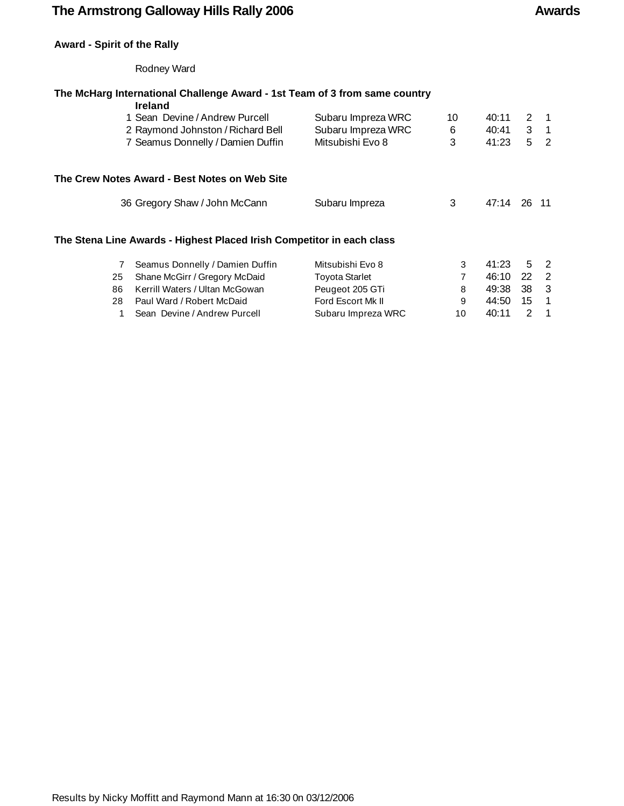### The Armstrong Galloway Hills Rally 2006 **Awards** Awards

### **Award - Spirit of the Rally**

### Rodney Ward

### **The McHarg International Challenge Award - 1st Team of 3 from same country**

|     | <b>Ireland</b>                                                        |                       |    |          |           |                |
|-----|-----------------------------------------------------------------------|-----------------------|----|----------|-----------|----------------|
|     | 1 Sean Devine / Andrew Purcell                                        | Subaru Impreza WRC    | 10 | 40:11    | 2         | $\overline{1}$ |
|     | 2 Raymond Johnston / Richard Bell                                     | Subaru Impreza WRC    | 6  | 40:41    |           | $3 \quad 1$    |
|     | 7 Seamus Donnelly / Damien Duffin                                     | Mitsubishi Evo 8      | 3  | 41:23    | 5         | $\overline{2}$ |
|     | The Crew Notes Award - Best Notes on Web Site                         |                       |    |          |           |                |
|     | 36 Gregory Shaw / John McCann                                         | Subaru Impreza        | 3  | 47:14    | 26 11     |                |
|     | The Stena Line Awards - Highest Placed Irish Competitor in each class |                       |    |          |           |                |
|     | Seamus Donnelly / Damien Duffin                                       | Mitsubishi Evo 8      | 3  | 41:23    | 5         | $\overline{2}$ |
| 25  | Shane McGirr / Gregory McDaid                                         | <b>Toyota Starlet</b> |    | 46:10    | <b>22</b> | $\overline{2}$ |
| 86. | Kerrill Waters / Hitan McGowan                                        | Peugeot 205 GTi       | я  | 49.38 38 |           | $\mathcal{R}$  |

86 Kerrill Waters / Ultan McGowan Peugeot 205 GTi 8 49:38 38 3 28 Paul Ward / Robert McDaid **Ford Escort Mk II 5 12 12 12 13 144:50** 15 1 1 Sean Devine / Andrew Purcell **Subaru Impreza WRC** 10 40:11 2 1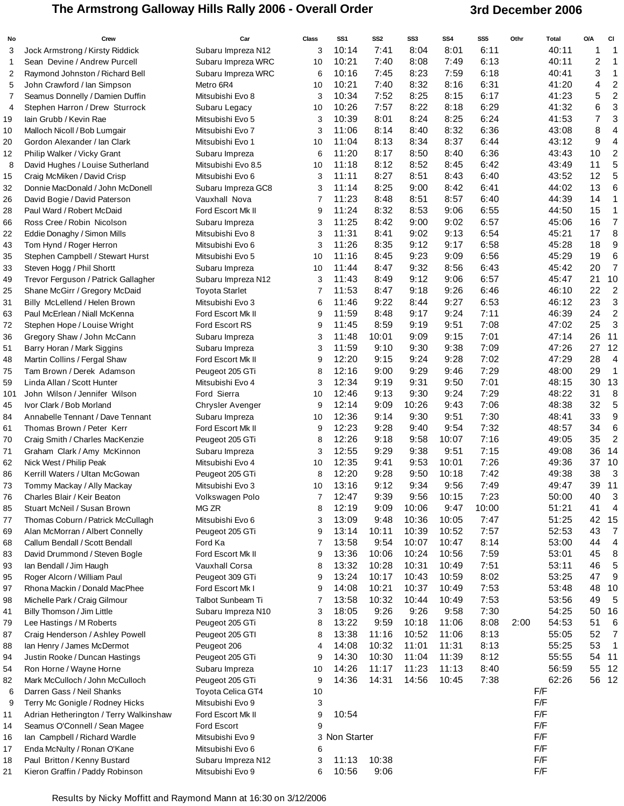## The Armstrong Galloway Hills Rally 2006 - Overall Order **3rd December 2006**

| No           | Crew                                                          | Car                                 | <b>Class</b> | SS <sub>1</sub> | SS <sub>2</sub> | SS3           | SS4          | SS5          | Othr | <b>Total</b>   | O/A                     | CI                      |
|--------------|---------------------------------------------------------------|-------------------------------------|--------------|-----------------|-----------------|---------------|--------------|--------------|------|----------------|-------------------------|-------------------------|
| 3            | Jock Armstrong / Kirsty Riddick                               | Subaru Impreza N12                  | 3            | 10:14           | 7:41            | 8:04          | 8:01         | 6:11         |      | 40:11          | 1                       | $\overline{1}$          |
| $\mathbf{1}$ | Sean Devine / Andrew Purcell                                  | Subaru Impreza WRC                  | 10           | 10:21           | 7:40            | 8:08          | 7:49         | 6:13         |      | 40:11          | $\overline{\mathbf{c}}$ | 1                       |
| 2            | Raymond Johnston / Richard Bell                               | Subaru Impreza WRC                  | 6            | 10:16           | 7:45            | 8:23          | 7:59         | 6:18         |      | 40:41          | 3                       | 1                       |
| 5            | John Crawford / Ian Simpson                                   | Metro 6R4                           | 10           | 10:21           | 7:40            | 8:32          | 8:16         | 6:31         |      | 41:20          | 4                       | $\overline{\mathbf{c}}$ |
| 7            | Seamus Donnelly / Damien Duffin                               | Mitsubishi Evo 8                    | 3            | 10:34           | 7:52            | 8:25          | 8:15         | 6:17         |      | 41:23          | 5                       | $\overline{c}$          |
| 4            | Stephen Harron / Drew Sturrock                                | Subaru Legacy                       | 10           | 10:26           | 7:57            | 8:22          | 8:18         | 6:29         |      | 41:32          | 6                       | 3                       |
| 19           | lain Grubb / Kevin Rae                                        | Mitsubishi Evo 5                    | 3            | 10:39           | 8:01            | 8:24          | 8:25         | 6:24         |      | 41:53          | 7                       | 3                       |
| 10           | Malloch Nicoll / Bob Lumgair                                  | Mitsubishi Evo 7                    | 3            | 11:06           | 8:14            | 8:40          | 8:32         | 6:36         |      | 43:08          | 8                       | $\overline{4}$          |
| 20           | Gordon Alexander / Ian Clark                                  | Mitsubishi Evo 1                    | 10           | 11:04           | 8:13            | 8:34          | 8:37         | 6:44         |      | 43:12          | 9                       | 4                       |
| 12           | Philip Walker / Vicky Grant                                   | Subaru Impreza                      | 6            | 11:20           | 8:17            | 8:50          | 8:40         | 6:36         |      | 43:43          | 10                      | $\overline{2}$          |
| 8            | David Hughes / Louise Sutherland                              | Mitsubishi Evo 8.5                  | 10           | 11:18           | 8:12            | 8:52          | 8:45         | 6:42         |      | 43:49          | 11                      | 5                       |
| 15           | Craig McMiken / David Crisp                                   | Mitsubishi Evo 6                    | 3            | 11:11           | 8:27            | 8:51          | 8:43         | 6:40         |      | 43:52          | 12                      | 5                       |
| 32           | Donnie MacDonald / John McDonell                              | Subaru Impreza GC8                  | 3            | 11:14           | 8:25            | 9:00          | 8:42         | 6:41         |      | 44:02          | 13                      | 6                       |
| 26           | David Bogie / David Paterson                                  | Vauxhall Nova                       | 7            | 11:23           | 8:48            | 8:51          | 8:57         | 6:40         |      | 44:39          | 14                      | $\mathbf{1}$            |
| 28           | Paul Ward / Robert McDaid                                     | Ford Escort Mk II                   | 9            | 11:24           | 8:32            | 8:53          | 9:06         | 6:55         |      | 44:50          | 15                      | $\mathbf{1}$            |
| 66           | Ross Cree / Robin Nicolson                                    | Subaru Impreza                      | 3            | 11:25           | 8:42            | 9:00          | 9:02         | 6:57         |      | 45:06          | 16                      | $\overline{7}$          |
| 22           | Eddie Donaghy / Simon Mills                                   | Mitsubishi Evo 8                    | 3            | 11:31           | 8:41            | 9:02          | 9:13         | 6:54         |      | 45:21          | 17                      | 8                       |
| 43           | Tom Hynd / Roger Herron                                       | Mitsubishi Evo 6                    | 3            | 11:26           | 8:35            | 9:12          | 9:17         | 6:58         |      | 45:28          | 18                      | 9                       |
| 35           | Stephen Campbell / Stewart Hurst                              | Mitsubishi Evo 5                    | 10           | 11:16           | 8:45            | 9:23          | 9:09         | 6:56         |      | 45:29          | 19                      | $6\phantom{1}6$         |
| 33           | Steven Hogg / Phil Shortt                                     | Subaru Impreza                      | 10           | 11:44           | 8:47            | 9:32          | 8:56         | 6:43         |      | 45:42          | 20                      | $\overline{7}$          |
| 49           | Trevor Ferguson / Patrick Gallagher                           | Subaru Impreza N12                  | 3            | 11:43           | 8:49            | 9:12          | 9:06         | 6:57         |      | 45:47          | 21                      | 10                      |
| 25           | Shane McGirr / Gregory McDaid                                 | <b>Toyota Starlet</b>               | 7            | 11:53           | 8:47            | 9:18          | 9:26         | 6:46         |      | 46:10          | 22                      | $\overline{2}$          |
| 31           | Billy McLellend / Helen Brown                                 | Mitsubishi Evo 3                    | 6            | 11:46           | 9:22            | 8:44          | 9:27         | 6:53         |      | 46:12          | 23                      | 3                       |
| 63           | Paul McErlean / Niall McKenna                                 | Ford Escort Mk II                   | 9            | 11:59           | 8:48            | 9:17          | 9:24         | 7:11         |      | 46:39          | 24                      | $\overline{c}$          |
| 72           | Stephen Hope / Louise Wright                                  | Ford Escort RS                      | 9            | 11:45           | 8:59            | 9:19          | 9:51         | 7:08         |      | 47:02          | 25                      | 3                       |
| 36           | Gregory Shaw / John McCann                                    | Subaru Impreza                      | 3            | 11:48           | 10:01           | 9:09          | 9:15         | 7:01         |      | 47:14          | 26                      | 11                      |
| 51           | Barry Horan / Mark Siggins                                    | Subaru Impreza                      | 3            | 11:59           | 9:10            | 9:30          | 9:38         | 7:09         |      | 47:26          | 27                      | 12                      |
| 48           | Martin Collins / Fergal Shaw                                  | Ford Escort Mk II                   | 9            | 12:20           | 9:15            | 9:24          | 9:28         | 7:02         |      | 47:29          | 28                      | $\overline{4}$          |
| 75           | Tam Brown / Derek Adamson                                     | Peugeot 205 GTi                     | 8            | 12:16           | 9:00            | 9:29          | 9:46         | 7:29         |      | 48:00          | 29                      | $\mathbf{1}$            |
| 59           | Linda Allan / Scott Hunter                                    | Mitsubishi Evo 4                    | 3            | 12:34           | 9:19            | 9:31          | 9:50         | 7:01         |      | 48:15          | 30                      | 13                      |
| 101          | John Wilson / Jennifer Wilson                                 | Ford Sierra                         | 10           | 12:46<br>12:14  | 9:13<br>9:09    | 9:30<br>10:26 | 9:24<br>9:43 | 7:29<br>7:06 |      | 48:22          | 31<br>32                | 8<br>5                  |
| 45           | Ivor Clark / Bob Morland                                      | Chrysler Avenger                    | 9            | 12:36           | 9:14            | 9:30          |              | 7:30         |      | 48:38<br>48:41 | 33                      | 9                       |
| 84<br>61     | Annabelle Tennant / Dave Tennant<br>Thomas Brown / Peter Kerr | Subaru Impreza<br>Ford Escort Mk II | 10<br>9      | 12:23           | 9:28            | 9:40          | 9:51<br>9:54 | 7:32         |      | 48:57          | 34                      | 6                       |
| 70           | Craig Smith / Charles MacKenzie                               | Peugeot 205 GTi                     | 8            | 12:26           | 9:18            | 9:58          | 10:07        | 7:16         |      | 49:05          | 35                      | $\overline{2}$          |
| 71           | Graham Clark / Amy McKinnon                                   | Subaru Impreza                      | 3            | 12:55           | 9:29            | 9:38          | 9:51         | 7:15         |      | 49:08          | 36                      | 14                      |
| 62           | Nick West / Philip Peak                                       | Mitsubishi Evo 4                    | 10           | 12:35           | 9:41            | 9:53          | 10:01        | 7:26         |      | 49:36          | 37                      | 10                      |
| 86           | Kerrill Waters / Ultan McGowan                                | Peugeot 205 GTi                     | 8            | 12:20           | 9:28            | 9:50          | 10:18        | 7:42         |      | 49:38          | 38                      | 3                       |
| 73           | Tommy Mackay / Ally Mackay                                    | Mitsubishi Evo 3                    | 10           | 13:16           | 9:12            | 9:34          | 9:56         | 7:49         |      | 49:47          | 39                      | 11                      |
| 76           | Charles Blair / Keir Beaton                                   | Volkswagen Polo                     | 7            | 12:47           | 9:39            | 9:56          | 10:15        | 7:23         |      | 50:00          | 40                      | 3                       |
| 85           | Stuart McNeil / Susan Brown                                   | MG ZR                               | 8            | 12:19           | 9:09            | 10:06         | 9:47         | 10:00        |      | 51:21          | 41                      | $\overline{4}$          |
| 77           | Thomas Coburn / Patrick McCullagh                             | Mitsubishi Evo 6                    | 3            | 13:09           | 9:48            | 10:36         | 10:05        | 7:47         |      | 51:25          | 42                      | - 15                    |
| 69           | Alan McMorran / Albert Connelly                               | Peugeot 205 GTi                     | 9            | 13:14           | 10:11           | 10:39         | 10:52        | 7:57         |      | 52:53          | 43                      | 7                       |
| 68           | Callum Bendall / Scott Bendall                                | Ford Ka                             | 7            | 13:58           | 9:54            | 10:07         | 10:47        | 8:14         |      | 53:00          | 44                      | $\overline{a}$          |
| 83           | David Drummond / Steven Bogle                                 | Ford Escort Mk II                   | 9            | 13:36           | 10:06           | 10:24         | 10:56        | 7:59         |      | 53:01          | 45                      | 8                       |
| 93           | lan Bendall / Jim Haugh                                       | Vauxhall Corsa                      | 8            | 13:32           | 10:28           | 10:31         | 10:49        | 7:51         |      | 53:11          | 46                      | 5                       |
| 95           | Roger Alcorn / William Paul                                   | Peugeot 309 GTi                     | 9            | 13:24           | 10:17           | 10:43         | 10:59        | 8:02         |      | 53:25          | 47                      | 9                       |
| 97           | Rhona Mackin / Donald MacPhee                                 | Ford Escort Mk I                    | 9            | 14:08           | 10:21           | 10:37         | 10:49        | 7:53         |      | 53:48          | 48                      | 10                      |
| 98           | Michelle Park / Craig Gilmour                                 | Talbot Sunbeam Ti                   | 7            | 13:58           | 10:32           | 10:44         | 10:49        | 7:53         |      | 53:56          | 49                      | 5                       |
| 41           | Billy Thomson / Jim Little                                    | Subaru Impreza N10                  | 3            | 18:05           | 9:26            | 9:26          | 9:58         | 7:30         |      | 54:25          | 50                      | 16                      |
| 79           | Lee Hastings / M Roberts                                      | Peugeot 205 GTi                     | 8            | 13:22           | 9:59            | 10:18         | 11:06        | 8:08         | 2:00 | 54:53          | 51                      | 6                       |
| 87           | Craig Henderson / Ashley Powell                               | Peugeot 205 GTI                     | 8            | 13:38           | 11:16           | 10:52         | 11:06        | 8:13         |      | 55:05          | 52                      | 7                       |
| 88           | lan Henry / James McDermot                                    | Peugeot 206                         | 4            | 14:08           | 10:32           | 11:01         | 11:31        | 8:13         |      | 55:25          | 53                      | $\overline{1}$          |
| 94           | Justin Rooke / Duncan Hastings                                | Peugeot 205 GTi                     | 9            | 14:30           | 10:30           | 11:04         | 11:39        | 8:12         |      | 55:55          | 54 11                   |                         |
| 54           | Ron Horne / Wayne Horne                                       | Subaru Impreza                      | 10           | 14:26           | 11:17           | 11:23         | 11:13        | 8:40         |      | 56:59          | 55 12                   |                         |
| 82           | Mark McCulloch / John McCulloch                               | Peugeot 205 GTi                     | 9            | 14:36           | 14:31           | 14:56         | 10:45        | 7:38         |      | 62:26          |                         | 56 12                   |
| 6            | Darren Gass / Neil Shanks                                     | Toyota Celica GT4                   | 10           |                 |                 |               |              |              |      | F/F            |                         |                         |
| 9            | Terry Mc Gonigle / Rodney Hicks                               | Mitsubishi Evo 9                    | 3            |                 |                 |               |              |              |      | F/F            |                         |                         |
| 11           | Adrian Hetherington / Terry Walkinshaw                        | Ford Escort Mk II                   | 9            | 10:54           |                 |               |              |              |      | F/F            |                         |                         |
| 14           | Seamus O'Connell / Sean Magee                                 | Ford Escort                         | 9            |                 |                 |               |              |              |      | F/F            |                         |                         |
| 16           | lan Campbell / Richard Wardle                                 | Mitsubishi Evo 9                    |              | 3 Non Starter   |                 |               |              |              |      | F/F            |                         |                         |
| 17           | Enda McNulty / Ronan O'Kane                                   | Mitsubishi Evo 6                    | 6            |                 |                 |               |              |              |      | F/F            |                         |                         |
| 18           | Paul Britton / Kenny Bustard                                  | Subaru Impreza N12                  | 3            | 11:13           | 10:38           |               |              |              |      | F/F            |                         |                         |
| 21           | Kieron Graffin / Paddy Robinson                               | Mitsubishi Evo 9                    | 6            | 10:56           | 9:06            |               |              |              |      | F/F            |                         |                         |

Results by Nicky Moffitt and Raymond Mann at 16:30 on 3/12/2006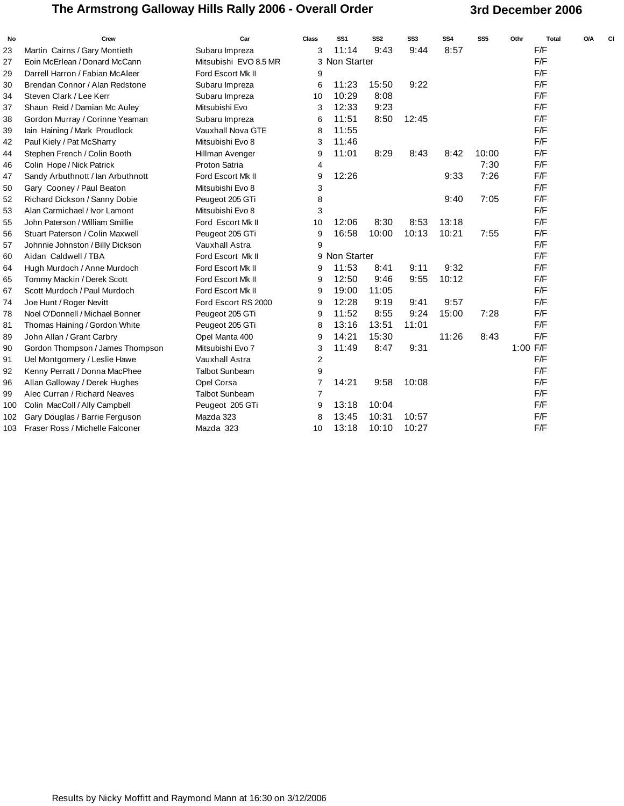### The Armstrong Galloway Hills Rally 2006 - Overall Order **3rd December 2006**

| No  | Crew                              | Car                   | <b>Class</b>   | SS <sub>1</sub> | SS <sub>2</sub> | SS3   | SS <sub>4</sub> | SS <sub>5</sub> | Othr     | <b>Total</b> | O/A | c |
|-----|-----------------------------------|-----------------------|----------------|-----------------|-----------------|-------|-----------------|-----------------|----------|--------------|-----|---|
| 23  | Martin Cairns / Gary Montieth     | Subaru Impreza        | 3              | 11:14           | 9:43            | 9:44  | 8:57            |                 | F/F      |              |     |   |
| 27  | Eoin McErlean / Donard McCann     | Mitsubishi EVO 8.5 MR |                | 3 Non Starter   |                 |       |                 |                 | F/F      |              |     |   |
| 29  | Darrell Harron / Fabian McAleer   | Ford Escort Mk II     | 9              |                 |                 |       |                 |                 | F/F      |              |     |   |
| 30  | Brendan Connor / Alan Redstone    | Subaru Impreza        | 6              | 11:23           | 15:50           | 9:22  |                 |                 | F/F      |              |     |   |
| 34  | Steven Clark / Lee Kerr           | Subaru Impreza        | 10             | 10:29           | 8:08            |       |                 |                 | F/F      |              |     |   |
| 37  | Shaun Reid / Damian Mc Auley      | Mitsubishi Evo        | 3              | 12:33           | 9:23            |       |                 |                 | F/F      |              |     |   |
| 38  | Gordon Murray / Corinne Yeaman    | Subaru Impreza        | 6              | 11:51           | 8:50            | 12:45 |                 |                 | F/F      |              |     |   |
| 39  | lain Haining / Mark Proudlock     | Vauxhall Nova GTE     | 8              | 11:55           |                 |       |                 |                 | F/F      |              |     |   |
| 42  | Paul Kiely / Pat McSharry         | Mitsubishi Evo 8      | 3              | 11:46           |                 |       |                 |                 | F/F      |              |     |   |
| 44  | Stephen French / Colin Booth      | Hillman Avenger       | 9              | 11:01           | 8:29            | 8:43  | 8:42            | 10:00           | F/F      |              |     |   |
| 46  | Colin Hope / Nick Patrick         | Proton Satria         | 4              |                 |                 |       |                 | 7:30            | F/F      |              |     |   |
| 47  | Sandy Arbuthnott / Ian Arbuthnott | Ford Escort Mk II     | 9              | 12:26           |                 |       | 9:33            | 7:26            | F/F      |              |     |   |
| 50  | Gary Cooney / Paul Beaton         | Mitsubishi Evo 8      | 3              |                 |                 |       |                 |                 | F/F      |              |     |   |
| 52  | Richard Dickson / Sanny Dobie     | Peugeot 205 GTi       | 8              |                 |                 |       | 9:40            | 7:05            | F/F      |              |     |   |
| 53  | Alan Carmichael / Ivor Lamont     | Mitsubishi Evo 8      | 3              |                 |                 |       |                 |                 | F/F      |              |     |   |
| 55  | John Paterson / William Smillie   | Ford Escort Mk II     | 10             | 12:06           | 8:30            | 8:53  | 13:18           |                 | F/F      |              |     |   |
| 56  | Stuart Paterson / Colin Maxwell   | Peugeot 205 GTi       | 9              | 16:58           | 10:00           | 10:13 | 10:21           | 7:55            | F/F      |              |     |   |
| 57  | Johnnie Johnston / Billy Dickson  | Vauxhall Astra        | 9              |                 |                 |       |                 |                 | F/F      |              |     |   |
| 60  | Aidan Caldwell / TBA              | Ford Escort Mk II     |                | 9 Non Starter   |                 |       |                 |                 | F/F      |              |     |   |
| 64  | Hugh Murdoch / Anne Murdoch       | Ford Escort Mk II     | 9              | 11:53           | 8:41            | 9:11  | 9:32            |                 | F/F      |              |     |   |
| 65  | Tommy Mackin / Derek Scott        | Ford Escort Mk II     | 9              | 12:50           | 9:46            | 9:55  | 10:12           |                 | F/F      |              |     |   |
| 67  | Scott Murdoch / Paul Murdoch      | Ford Escort Mk II     | 9              | 19:00           | 11:05           |       |                 |                 | F/F      |              |     |   |
| 74  | Joe Hunt / Roger Nevitt           | Ford Escort RS 2000   | 9              | 12:28           | 9:19            | 9:41  | 9:57            |                 | F/F      |              |     |   |
| 78  | Noel O'Donnell / Michael Bonner   | Peugeot 205 GTi       | 9              | 11:52           | 8:55            | 9:24  | 15:00           | 7:28            | F/F      |              |     |   |
| 81  | Thomas Haining / Gordon White     | Peugeot 205 GTi       | 8              | 13:16           | 13:51           | 11:01 |                 |                 | F/F      |              |     |   |
| 89  | John Allan / Grant Carbry         | Opel Manta 400        | 9              | 14:21           | 15:30           |       | 11:26           | 8:43            | F/F      |              |     |   |
| 90  | Gordon Thompson / James Thompson  | Mitsubishi Evo 7      | 3              | 11:49           | 8:47            | 9:31  |                 |                 | 1:00 F/F |              |     |   |
| 91  | Uel Montgomery / Leslie Hawe      | <b>Vauxhall Astra</b> | 2              |                 |                 |       |                 |                 | F/F      |              |     |   |
| 92  | Kenny Perratt / Donna MacPhee     | <b>Talbot Sunbeam</b> | 9              |                 |                 |       |                 |                 | F/F      |              |     |   |
| 96  | Allan Galloway / Derek Hughes     | Opel Corsa            | $\overline{7}$ | 14:21           | 9:58            | 10:08 |                 |                 | F/F      |              |     |   |
| 99  | Alec Curran / Richard Neaves      | <b>Talbot Sunbeam</b> | $\overline{7}$ |                 |                 |       |                 |                 | F/F      |              |     |   |
| 100 | Colin MacColl / Ally Campbell     | Peugeot 205 GTi       | 9              | 13:18           | 10:04           |       |                 |                 | F/F      |              |     |   |
| 102 | Gary Douglas / Barrie Ferguson    | Mazda 323             | 8              | 13:45           | 10:31           | 10:57 |                 |                 | F/F      |              |     |   |
| 103 | Fraser Ross / Michelle Falconer   | Mazda 323             | 10             | 13:18           | 10:10           | 10:27 |                 |                 | F/F      |              |     |   |
|     |                                   |                       |                |                 |                 |       |                 |                 |          |              |     |   |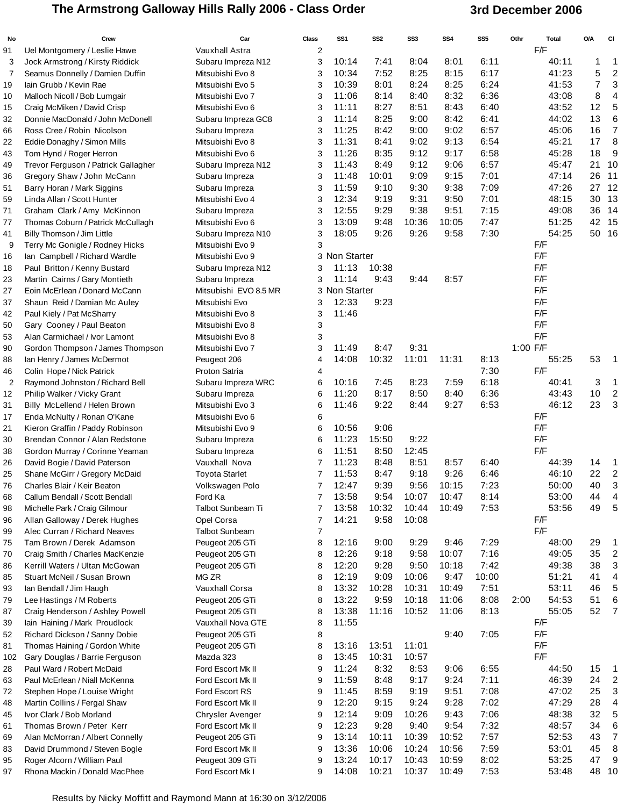### The Armstrong Galloway Hills Rally 2006 - Class Order **3rd December 2006**

| No             | Crew                                                              | Car                             | <b>Class</b>   | SS <sub>1</sub> | SS <sub>2</sub> | SS3   | SS4   | SS5   | Othr       | <b>Total</b> | O/A | <b>CI</b>                 |
|----------------|-------------------------------------------------------------------|---------------------------------|----------------|-----------------|-----------------|-------|-------|-------|------------|--------------|-----|---------------------------|
| 91             | Uel Montgomery / Leslie Hawe                                      | Vauxhall Astra                  | $\overline{2}$ |                 |                 |       |       |       | F/F        |              |     |                           |
| 3              | Jock Armstrong / Kirsty Riddick                                   | Subaru Impreza N12              | 3              | 10:14           | 7:41            | 8:04  | 8:01  | 6:11  |            | 40:11        | 1   | 1                         |
| 7              | Seamus Donnelly / Damien Duffin                                   | Mitsubishi Evo 8                | 3              | 10:34           | 7:52            | 8:25  | 8:15  | 6:17  |            | 41:23        | 5   | $\overline{c}$            |
| 19             | lain Grubb / Kevin Rae                                            | Mitsubishi Evo 5                | 3              | 10:39           | 8:01            | 8:24  | 8:25  | 6:24  |            | 41:53        | 7   | 3                         |
| 10             | Malloch Nicoll / Bob Lumgair                                      | Mitsubishi Evo 7                | 3              | 11:06           | 8:14            | 8:40  | 8:32  | 6:36  |            | 43:08        | 8   | $\overline{\mathcal{A}}$  |
| 15             | Craig McMiken / David Crisp                                       | Mitsubishi Evo 6                | 3              | 11:11           | 8:27            | 8:51  | 8:43  | 6:40  |            | 43:52        | 12  | 5                         |
| 32             | Donnie MacDonald / John McDonell                                  | Subaru Impreza GC8              | 3              | 11:14           | 8:25            | 9:00  | 8:42  | 6:41  |            | 44:02        | 13  | 6                         |
| 66             | Ross Cree / Robin Nicolson                                        | Subaru Impreza                  | 3              | 11:25           | 8:42            | 9:00  | 9:02  | 6:57  |            | 45:06        | 16  | $\overline{7}$            |
| 22             | Eddie Donaghy / Simon Mills                                       | Mitsubishi Evo 8                | 3              | 11:31           | 8:41            | 9:02  | 9:13  | 6:54  |            | 45:21        | 17  | 8                         |
| 43             | Tom Hynd / Roger Herron                                           | Mitsubishi Evo 6                | 3              | 11:26           | 8:35            | 9:12  | 9:17  | 6:58  |            | 45:28        | 18  | 9                         |
| 49             | Trevor Ferguson / Patrick Gallagher                               | Subaru Impreza N12              | 3              | 11:43           | 8:49            | 9:12  | 9:06  | 6:57  |            | 45:47        | 21  | 10                        |
| 36             | Gregory Shaw / John McCann                                        | Subaru Impreza                  | 3              | 11:48           | 10:01           | 9:09  | 9:15  | 7:01  |            | 47:14        | 26  | 11                        |
| 51             | Barry Horan / Mark Siggins                                        | Subaru Impreza                  | 3              | 11:59           | 9:10            | 9:30  | 9:38  | 7:09  |            | 47:26        | 27  | 12                        |
| 59             | Linda Allan / Scott Hunter                                        | Mitsubishi Evo 4                | 3              | 12:34           | 9:19            | 9:31  | 9:50  | 7:01  |            | 48:15        |     | 30 13                     |
| 71             | Graham Clark / Amy McKinnon                                       | Subaru Impreza                  | 3              | 12:55           | 9:29            | 9:38  | 9:51  | 7:15  |            | 49:08        | 36  | 14                        |
| 77             | Thomas Coburn / Patrick McCullagh                                 | Mitsubishi Evo 6                | 3              | 13:09           | 9:48            | 10:36 | 10:05 | 7:47  |            | 51:25        |     | 42 15                     |
| 41             | Billy Thomson / Jim Little                                        | Subaru Impreza N10              | 3              | 18:05           | 9:26            | 9:26  | 9:58  | 7:30  |            | 54:25        |     | 50 16                     |
| 9              | Terry Mc Gonigle / Rodney Hicks                                   | Mitsubishi Evo 9                | 3              |                 |                 |       |       |       | F/F        |              |     |                           |
| 16             | lan Campbell / Richard Wardle                                     | Mitsubishi Evo 9                |                | 3 Non Starter   |                 |       |       |       | F/F        |              |     |                           |
| 18             | Paul Britton / Kenny Bustard                                      | Subaru Impreza N12              | 3              | 11:13           | 10:38           |       |       |       | F/F        |              |     |                           |
| 23             | Martin Cairns / Gary Montieth                                     | Subaru Impreza                  | 3              | 11:14           | 9:43            | 9:44  | 8:57  |       | F/F        |              |     |                           |
| 27             | Eoin McErlean / Donard McCann                                     | Mitsubishi EVO 8.5 MR           |                | 3 Non Starter   |                 |       |       |       | F/F        |              |     |                           |
| 37             | Shaun Reid / Damian Mc Auley                                      | Mitsubishi Evo                  | 3              | 12:33           | 9:23            |       |       |       | F/F        |              |     |                           |
| 42             | Paul Kiely / Pat McSharry                                         | Mitsubishi Evo 8                | 3              | 11:46           |                 |       |       |       | F/F        |              |     |                           |
| 50             | Gary Cooney / Paul Beaton                                         | Mitsubishi Evo 8                | 3              |                 |                 |       |       |       | F/F        |              |     |                           |
| 53             | Alan Carmichael / Ivor Lamont                                     | Mitsubishi Evo 8                | 3              |                 |                 |       |       |       | F/F        |              |     |                           |
| 90             | Gordon Thompson / James Thompson                                  | Mitsubishi Evo 7                | 3              | 11:49           | 8:47            | 9:31  |       |       | 1:00 F/F   |              |     |                           |
| 88             | lan Henry / James McDermot                                        | Peugeot 206                     | 4              | 14:08           | 10:32           | 11:01 | 11:31 | 8:13  |            | 55:25        | 53  | - 1                       |
| 46             | Colin Hope / Nick Patrick                                         | Proton Satria                   | 4              |                 |                 |       |       | 7:30  | F/F        |              |     |                           |
| $\overline{2}$ | Raymond Johnston / Richard Bell                                   | Subaru Impreza WRC              | 6              | 10:16           | 7:45            | 8:23  | 7:59  | 6:18  |            | 40:41        | 3   | $\mathbf 1$               |
| 12             | Philip Walker / Vicky Grant                                       | Subaru Impreza                  | 6              | 11:20           | 8:17            | 8:50  | 8:40  | 6:36  |            | 43:43        | 10  | $\overline{2}$            |
| 31             | Billy McLellend / Helen Brown                                     | Mitsubishi Evo 3                | 6              | 11:46           | 9:22            | 8:44  | 9:27  | 6:53  |            | 46:12        | 23  | $\mathbf{3}$              |
| 17             | Enda McNulty / Ronan O'Kane                                       | Mitsubishi Evo 6                | 6              |                 | 9:06            |       |       |       | F/F<br>F/F |              |     |                           |
| 21             | Kieron Graffin / Paddy Robinson<br>Brendan Connor / Alan Redstone | Mitsubishi Evo 9                | 6              | 10:56<br>11:23  | 15:50           | 9:22  |       |       | F/F        |              |     |                           |
| 30             |                                                                   | Subaru Impreza                  | 6<br>6         | 11:51           | 8:50            | 12:45 |       |       | F/F        |              |     |                           |
| 38<br>26       | Gordon Murray / Corinne Yeaman<br>David Bogie / David Paterson    | Subaru Impreza<br>Vauxhall Nova | 7              | 11:23           | 8:48            | 8:51  | 8:57  | 6:40  |            | 44:39        | 14  | $\overline{1}$            |
| 25             | Shane McGirr / Gregory McDaid                                     | <b>Toyota Starlet</b>           | 7              | 11:53           | 8:47            | 9:18  | 9:26  | 6:46  |            | 46:10        | 22  | $\overline{c}$            |
| 76             | Charles Blair / Keir Beaton                                       | Volkswagen Polo                 | 7              | 12:47           | 9:39            | 9:56  | 10:15 | 7:23  |            | 50:00        | 40  | 3                         |
| 68             | Callum Bendall / Scott Bendall                                    | Ford Ka                         | 7              | 13:58           | 9:54            | 10:07 | 10:47 | 8:14  |            | 53:00        | 44  | 4                         |
| 98             | Michelle Park / Craig Gilmour                                     | Talbot Sunbeam Ti               | 7              | 13:58           | 10:32           | 10:44 | 10:49 | 7:53  |            | 53:56        | 49  | $\sqrt{5}$                |
| 96             | Allan Galloway / Derek Hughes                                     | Opel Corsa                      | 7              | 14:21           | 9:58            | 10:08 |       |       | F/F        |              |     |                           |
| 99             | Alec Curran / Richard Neaves                                      | <b>Talbot Sunbeam</b>           | 7              |                 |                 |       |       |       | F/F        |              |     |                           |
| 75             | Tam Brown / Derek Adamson                                         | Peugeot 205 GTi                 | 8              | 12:16           | 9:00            | 9:29  | 9:46  | 7:29  |            | 48:00        | 29  | $\overline{\phantom{1}}$  |
| 70             | Craig Smith / Charles MacKenzie                                   | Peugeot 205 GTi                 | 8              | 12:26           | 9:18            | 9:58  | 10:07 | 7:16  |            | 49:05        | 35  | $\overline{c}$            |
| 86             | Kerrill Waters / Ultan McGowan                                    | Peugeot 205 GTi                 | 8              | 12:20           | 9:28            | 9:50  | 10:18 | 7:42  |            | 49:38        | 38  | 3                         |
| 85             | Stuart McNeil / Susan Brown                                       | MG ZR                           | 8              | 12:19           | 9:09            | 10:06 | 9:47  | 10:00 |            | 51:21        | 41  | 4                         |
| 93             | lan Bendall / Jim Haugh                                           | Vauxhall Corsa                  | 8              | 13:32           | 10:28           | 10:31 | 10:49 | 7:51  |            | 53:11        | 46  | 5                         |
| 79             | Lee Hastings / M Roberts                                          | Peugeot 205 GTi                 | 8              | 13:22           | 9:59            | 10:18 | 11:06 | 8:08  | 2:00       | 54:53        | 51  | 6                         |
| 87             | Craig Henderson / Ashley Powell                                   | Peugeot 205 GTI                 | 8              | 13:38           | 11:16           | 10:52 | 11:06 | 8:13  |            | 55:05        | 52  | $\overline{7}$            |
| 39             | lain Haining / Mark Proudlock                                     | Vauxhall Nova GTE               | 8              | 11:55           |                 |       |       |       | F/F        |              |     |                           |
| 52             | Richard Dickson / Sanny Dobie                                     | Peugeot 205 GTi                 | 8              |                 |                 |       | 9:40  | 7:05  | F/F        |              |     |                           |
| 81             | Thomas Haining / Gordon White                                     | Peugeot 205 GTi                 | 8              | 13:16           | 13:51           | 11:01 |       |       | F/F        |              |     |                           |
| 102            | Gary Douglas / Barrie Ferguson                                    | Mazda 323                       | 8              | 13:45           | 10:31           | 10:57 |       |       | F/F        |              |     |                           |
| 28             | Paul Ward / Robert McDaid                                         | Ford Escort Mk II               | 9              | 11:24           | 8:32            | 8:53  | 9:06  | 6:55  |            | 44:50        | 15  | $\overline{1}$            |
| 63             | Paul McErlean / Niall McKenna                                     | Ford Escort Mk II               | 9              | 11:59           | 8:48            | 9:17  | 9:24  | 7:11  |            | 46:39        | 24  | $\overline{c}$            |
| 72             | Stephen Hope / Louise Wright                                      | Ford Escort RS                  | 9              | 11:45           | 8:59            | 9:19  | 9:51  | 7:08  |            | 47:02        | 25  | $\ensuremath{\mathsf{3}}$ |
| 48             | Martin Collins / Fergal Shaw                                      | Ford Escort Mk II               | 9              | 12:20           | 9:15            | 9:24  | 9:28  | 7:02  |            | 47:29        | 28  | $\overline{\mathcal{A}}$  |
| 45             | Ivor Clark / Bob Morland                                          | Chrysler Avenger                | 9              | 12:14           | 9:09            | 10:26 | 9:43  | 7:06  |            | 48:38        | 32  | 5                         |
| 61             | Thomas Brown / Peter Kerr                                         | Ford Escort Mk II               | 9              | 12:23           | 9:28            | 9:40  | 9:54  | 7:32  |            | 48:57        | 34  | 6                         |
| 69             | Alan McMorran / Albert Connelly                                   | Peugeot 205 GTi                 | 9              | 13:14           | 10:11           | 10:39 | 10:52 | 7:57  |            | 52:53        | 43  | $\overline{7}$            |
| 83             | David Drummond / Steven Bogle                                     | Ford Escort Mk II               | 9              | 13:36           | 10:06           | 10:24 | 10:56 | 7:59  |            | 53:01        | 45  | 8                         |
| 95             | Roger Alcorn / William Paul                                       | Peugeot 309 GTi                 | 9              | 13:24           | 10:17           | 10:43 | 10:59 | 8:02  |            | 53:25        | 47  | 9                         |
| 97             | Rhona Mackin / Donald MacPhee                                     | Ford Escort Mk I                | 9              | 14:08           | 10:21           | 10:37 | 10:49 | 7:53  |            | 53:48        |     | 48 10                     |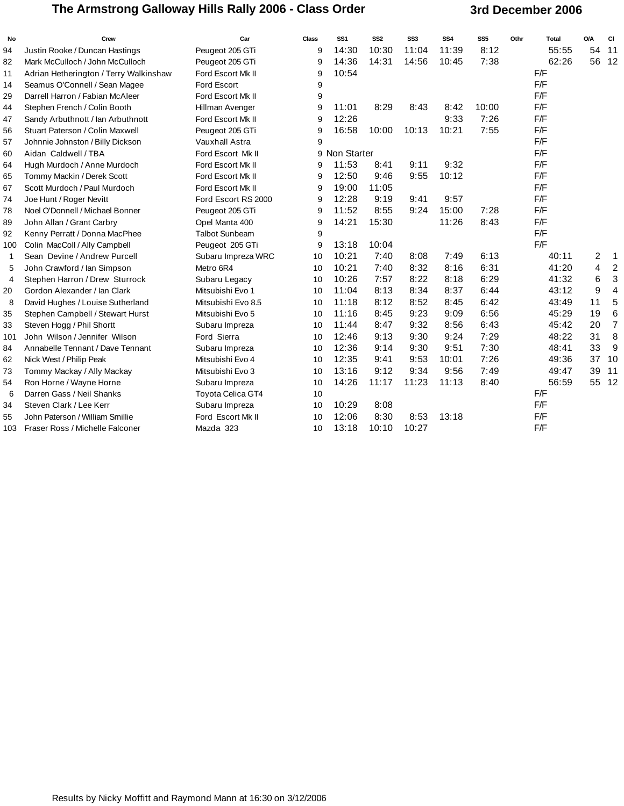### The Armstrong Galloway Hills Rally 2006 - Class Order **3rd December 2006**

| No  | Crew                                   | Car                      | <b>Class</b> | SS <sub>1</sub> | SS <sub>2</sub> | SS <sub>3</sub> | SS <sub>4</sub> | SS <sub>5</sub> | Othr | <b>Total</b> | <b>O/A</b>     | <b>CI</b>               |
|-----|----------------------------------------|--------------------------|--------------|-----------------|-----------------|-----------------|-----------------|-----------------|------|--------------|----------------|-------------------------|
| 94  | Justin Rooke / Duncan Hastings         | Peugeot 205 GTi          | 9            | 14:30           | 10:30           | 11:04           | 11:39           | 8:12            |      | 55:55        | 54             | 11                      |
| 82  | Mark McCulloch / John McCulloch        | Peugeot 205 GTi          | 9            | 14:36           | 14:31           | 14:56           | 10:45           | 7:38            |      | 62:26        | 56             | 12                      |
| 11  | Adrian Hetherington / Terry Walkinshaw | Ford Escort Mk II        | 9            | 10:54           |                 |                 |                 |                 |      | F/F          |                |                         |
| 14  | Seamus O'Connell / Sean Magee          | <b>Ford Escort</b>       | 9            |                 |                 |                 |                 |                 |      | F/F          |                |                         |
| 29  | Darrell Harron / Fabian McAleer        | Ford Escort Mk II        | 9            |                 |                 |                 |                 |                 |      | F/F          |                |                         |
| 44  | Stephen French / Colin Booth           | Hillman Avenger          | 9            | 11:01           | 8:29            | 8:43            | 8:42            | 10:00           |      | F/F          |                |                         |
| 47  | Sandy Arbuthnott / Ian Arbuthnott      | Ford Escort Mk II        | 9            | 12:26           |                 |                 | 9:33            | 7:26            |      | F/F          |                |                         |
| 56  | Stuart Paterson / Colin Maxwell        | Peugeot 205 GTi          | 9            | 16:58           | 10:00           | 10:13           | 10:21           | 7:55            |      | F/F          |                |                         |
| 57  | Johnnie Johnston / Billy Dickson       | Vauxhall Astra           | 9            |                 |                 |                 |                 |                 |      | F/F          |                |                         |
| 60  | Aidan Caldwell / TBA                   | Ford Escort Mk II        |              | 9 Non Starter   |                 |                 |                 |                 |      | F/F          |                |                         |
| 64  | Hugh Murdoch / Anne Murdoch            | Ford Escort Mk II        | 9            | 11:53           | 8:41            | 9:11            | 9:32            |                 |      | F/F          |                |                         |
| 65  | Tommy Mackin / Derek Scott             | Ford Escort Mk II        | 9            | 12:50           | 9:46            | 9:55            | 10:12           |                 |      | F/F          |                |                         |
| 67  | Scott Murdoch / Paul Murdoch           | Ford Escort Mk II        | 9            | 19:00           | 11:05           |                 |                 |                 |      | F/F          |                |                         |
| 74  | Joe Hunt / Roger Nevitt                | Ford Escort RS 2000      | 9            | 12:28           | 9:19            | 9:41            | 9:57            |                 |      | F/F          |                |                         |
| 78  | Noel O'Donnell / Michael Bonner        | Peugeot 205 GTi          | 9            | 11:52           | 8:55            | 9:24            | 15:00           | 7:28            |      | F/F          |                |                         |
| 89  | John Allan / Grant Carbry              | Opel Manta 400           | 9            | 14:21           | 15:30           |                 | 11:26           | 8:43            |      | F/F          |                |                         |
| 92  | Kenny Perratt / Donna MacPhee          | <b>Talbot Sunbeam</b>    | 9            |                 |                 |                 |                 |                 |      | F/F          |                |                         |
| 100 | Colin MacColl / Ally Campbell          | Peugeot 205 GTi          | 9            | 13:18           | 10:04           |                 |                 |                 |      | F/F          |                |                         |
| 1   | Sean Devine / Andrew Purcell           | Subaru Impreza WRC       | 10           | 10:21           | 7:40            | 8:08            | 7:49            | 6:13            |      | 40:11        | $\overline{2}$ | $\mathbf 1$             |
| 5   | John Crawford / Ian Simpson            | Metro 6R4                | 10           | 10:21           | 7:40            | 8:32            | 8:16            | 6:31            |      | 41:20        | 4              | $\boldsymbol{2}$        |
| 4   | Stephen Harron / Drew Sturrock         | Subaru Legacy            | 10           | 10:26           | 7:57            | 8:22            | 8:18            | 6:29            |      | 41:32        | 6              | 3                       |
| 20  | Gordon Alexander / Ian Clark           | Mitsubishi Evo 1         | 10           | 11:04           | 8:13            | 8:34            | 8:37            | 6:44            |      | 43:12        | 9              | $\overline{\mathbf{4}}$ |
| 8   | David Hughes / Louise Sutherland       | Mitsubishi Evo 8.5       | 10           | 11:18           | 8:12            | 8:52            | 8:45            | 6:42            |      | 43:49        | 11             | 5                       |
| 35  | Stephen Campbell / Stewart Hurst       | Mitsubishi Evo 5         | 10           | 11:16           | 8:45            | 9:23            | 9:09            | 6:56            |      | 45:29        | 19             | $\,6$                   |
| 33  | Steven Hogg / Phil Shortt              | Subaru Impreza           | 10           | 11:44           | 8:47            | 9:32            | 8:56            | 6:43            |      | 45:42        | 20             | $\overline{7}$          |
| 101 | John Wilson / Jennifer Wilson          | Ford Sierra              | 10           | 12:46           | 9:13            | 9:30            | 9:24            | 7:29            |      | 48:22        | 31             | $\, 8$                  |
| 84  | Annabelle Tennant / Dave Tennant       | Subaru Impreza           | 10           | 12:36           | 9:14            | 9:30            | 9:51            | 7:30            |      | 48:41        | 33             | $9\,$                   |
| 62  | Nick West / Philip Peak                | Mitsubishi Evo 4         | 10           | 12:35           | 9:41            | 9:53            | 10:01           | 7:26            |      | 49:36        | 37             | 10                      |
| 73  | Tommy Mackay / Ally Mackay             | Mitsubishi Evo 3         | 10           | 13:16           | 9:12            | 9:34            | 9:56            | 7:49            |      | 49:47        | 39             | 11                      |
| 54  | Ron Horne / Wayne Horne                | Subaru Impreza           | 10           | 14:26           | 11:17           | 11:23           | 11:13           | 8:40            |      | 56:59        | 55             | 12                      |
| 6   | Darren Gass / Neil Shanks              | <b>Toyota Celica GT4</b> | 10           |                 |                 |                 |                 |                 |      | F/F          |                |                         |
| 34  | Steven Clark / Lee Kerr                | Subaru Impreza           | 10           | 10:29           | 8:08            |                 |                 |                 |      | F/F          |                |                         |
| 55  | John Paterson / William Smillie        | Ford Escort Mk II        | 10           | 12:06           | 8:30            | 8:53            | 13:18           |                 |      | F/F          |                |                         |
| 103 | Fraser Ross / Michelle Falconer        | Mazda 323                | 10           | 13:18           | 10:10           | 10:27           |                 |                 |      | F/F          |                |                         |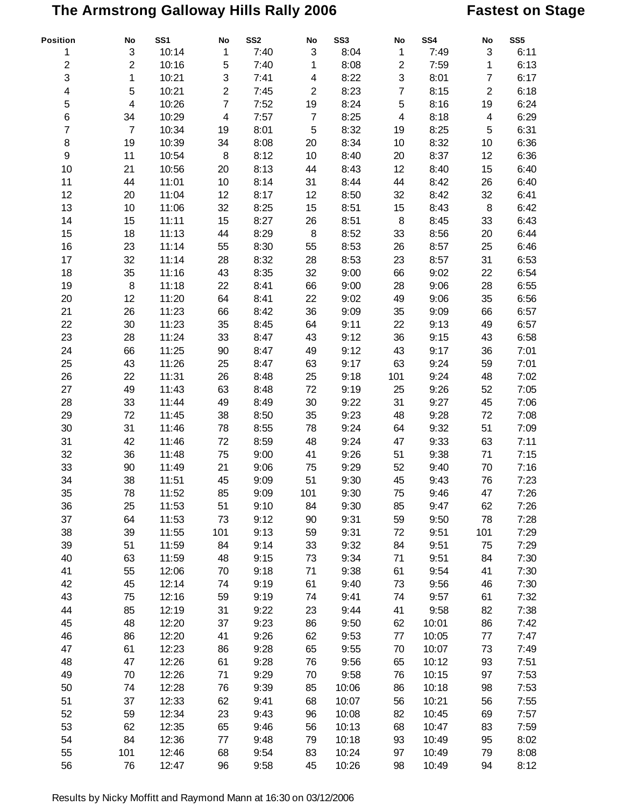# **The Armstrong Galloway Hills Rally 2006 Fastest on Stage**

| Position       | $\mathop{\mathsf{No}}$   | SS <sub>1</sub> | No             | SS <sub>2</sub> | No                        | SS <sub>3</sub> | No             | SS4   | No                        | SS5  |
|----------------|--------------------------|-----------------|----------------|-----------------|---------------------------|-----------------|----------------|-------|---------------------------|------|
| 1              | 3                        | 10:14           | 1              | 7:40            | $\ensuremath{\mathsf{3}}$ | 8:04            | $\mathbf{1}$   | 7:49  | $\ensuremath{\mathsf{3}}$ | 6:11 |
| $\mathbf{2}$   | $\overline{2}$           | 10:16           | 5              | 7:40            | 1                         | 8:08            | $\overline{2}$ | 7:59  | 1                         | 6:13 |
| 3              | 1                        | 10:21           | 3              | 7:41            | 4                         | 8:22            | 3              | 8:01  | $\overline{7}$            | 6:17 |
| 4              | 5                        | 10:21           | $\overline{2}$ | 7:45            | $\mathbf 2$               | 8:23            | $\overline{7}$ | 8:15  | $\mathbf 2$               | 6:18 |
| 5              | $\overline{\mathcal{A}}$ | 10:26           | $\overline{7}$ | 7:52            | 19                        | 8:24            | 5              | 8:16  | 19                        | 6:24 |
| 6              | 34                       | 10:29           | 4              | 7:57            | $\overline{7}$            | 8:25            | 4              | 8:18  | $\overline{\mathbf{4}}$   | 6:29 |
| $\overline{7}$ | $\overline{7}$           | 10:34           | 19             | 8:01            | 5                         | 8:32            | 19             | 8:25  | 5                         | 6:31 |
| 8              | 19                       | 10:39           | 34             | 8:08            | 20                        | 8:34            | 10             | 8:32  | 10                        | 6:36 |
| 9              | 11                       | 10:54           | 8              | 8:12            | 10                        | 8:40            | 20             | 8:37  | 12                        | 6:36 |
| 10             | 21                       | 10:56           | 20             | 8:13            | 44                        | 8:43            | 12             | 8:40  | 15                        | 6:40 |
| 11             | 44                       | 11:01           | 10             | 8:14            | 31                        | 8:44            | 44             | 8:42  | 26                        | 6:40 |
| 12             | 20                       | 11:04           | 12             | 8:17            | 12                        | 8:50            | 32             | 8:42  | 32                        | 6:41 |
| 13             | 10                       | 11:06           | 32             | 8:25            | 15                        | 8:51            | 15             | 8:43  | 8                         | 6:42 |
| 14             | 15                       | 11:11           | 15             | 8:27            | 26                        | 8:51            | 8              | 8:45  | 33                        | 6:43 |
| 15             | 18                       | 11:13           | 44             | 8:29            | 8                         | 8:52            | 33             | 8:56  | 20                        | 6:44 |
| 16             | 23                       | 11:14           | 55             | 8:30            |                           | 8:53            | 26             | 8:57  | 25                        | 6:46 |
|                |                          |                 |                |                 | 55                        |                 |                |       |                           |      |
| 17             | 32                       | 11:14           | 28             | 8:32            | 28                        | 8:53            | 23             | 8:57  | 31                        | 6:53 |
| 18             | 35                       | 11:16           | 43             | 8:35            | 32                        | 9:00            | 66             | 9:02  | 22                        | 6:54 |
| 19             | 8                        | 11:18           | 22             | 8:41            | 66                        | 9:00            | 28             | 9:06  | 28                        | 6:55 |
| 20             | 12                       | 11:20           | 64             | 8:41            | 22                        | 9:02            | 49             | 9:06  | 35                        | 6:56 |
| 21             | 26                       | 11:23           | 66             | 8:42            | 36                        | 9:09            | 35             | 9:09  | 66                        | 6:57 |
| 22             | 30                       | 11:23           | 35             | 8:45            | 64                        | 9:11            | 22             | 9:13  | 49                        | 6:57 |
| 23             | 28                       | 11:24           | 33             | 8:47            | 43                        | 9:12            | 36             | 9:15  | 43                        | 6:58 |
| 24             | 66                       | 11:25           | 90             | 8:47            | 49                        | 9:12            | 43             | 9:17  | 36                        | 7:01 |
| 25             | 43                       | 11:26           | 25             | 8:47            | 63                        | 9:17            | 63             | 9:24  | 59                        | 7:01 |
| 26             | 22                       | 11:31           | 26             | 8:48            | 25                        | 9:18            | 101            | 9:24  | 48                        | 7:02 |
| 27             | 49                       | 11:43           | 63             | 8:48            | 72                        | 9:19            | 25             | 9:26  | 52                        | 7:05 |
| 28             | 33                       | 11:44           | 49             | 8:49            | 30                        | 9:22            | 31             | 9:27  | 45                        | 7:06 |
| 29             | 72                       | 11:45           | 38             | 8:50            | 35                        | 9:23            | 48             | 9:28  | 72                        | 7:08 |
| 30             | 31                       | 11:46           | 78             | 8:55            | 78                        | 9:24            | 64             | 9:32  | 51                        | 7:09 |
| 31             | 42                       | 11:46           | 72             | 8:59            | 48                        | 9:24            | 47             | 9:33  | 63                        | 7:11 |
| 32             | 36                       | 11:48           | 75             | 9:00            | 41                        | 9:26            | 51             | 9:38  | 71                        | 7:15 |
| 33             | 90                       | 11:49           | 21             | 9:06            | 75                        | 9:29            | 52             | 9:40  | 70                        | 7:16 |
| 34             | 38                       | 11:51           | 45             | 9:09            | 51                        | 9:30            | 45             | 9:43  | 76                        | 7:23 |
| 35             | 78                       | 11:52           | 85             | 9:09            | 101                       | 9:30            | 75             | 9:46  | 47                        | 7:26 |
| 36             | 25                       | 11:53           | 51             | 9:10            | 84                        | 9:30            | 85             | 9:47  | 62                        | 7:26 |
| 37             | 64                       | 11:53           | 73             | 9:12            | 90                        | 9:31            | 59             | 9:50  | 78                        | 7:28 |
| 38             | 39                       | 11:55           | 101            | 9:13            | 59                        | 9:31            | 72             | 9:51  | 101                       | 7:29 |
| 39             | 51                       | 11:59           | 84             | 9:14            | 33                        | 9:32            | 84             | 9:51  | 75                        | 7:29 |
| 40             | 63                       | 11:59           | 48             | 9:15            | 73                        | 9:34            | 71             | 9:51  | 84                        | 7:30 |
| 41             | 55                       | 12:06           | 70             | 9:18            | 71                        | 9:38            | 61             | 9:54  | 41                        | 7:30 |
| 42             | 45                       | 12:14           | 74             | 9:19            | 61                        | 9:40            | 73             | 9:56  | 46                        | 7:30 |
|                |                          |                 |                |                 |                           |                 |                |       |                           |      |
| 43             | 75                       | 12:16           | 59             | 9:19            | 74                        | 9:41            | 74             | 9:57  | 61                        | 7:32 |
| 44             | 85                       | 12:19           | 31             | 9:22            | 23                        | 9:44            | 41             | 9:58  | 82                        | 7:38 |
| 45             | 48                       | 12:20           | 37             | 9:23            | 86                        | 9:50            | 62             | 10:01 | 86                        | 7:42 |
| 46             | 86                       | 12:20           | 41             | 9:26            | 62                        | 9:53            | 77             | 10:05 | $77$                      | 7:47 |
| 47             | 61                       | 12:23           | 86             | 9:28            | 65                        | 9:55            | 70             | 10:07 | 73                        | 7:49 |
| 48             | 47                       | 12:26           | 61             | 9:28            | 76                        | 9:56            | 65             | 10:12 | 93                        | 7:51 |
| 49             | 70                       | 12:26           | 71             | 9:29            | 70                        | 9:58            | 76             | 10:15 | 97                        | 7:53 |
| 50             | 74                       | 12:28           | 76             | 9:39            | 85                        | 10:06           | 86             | 10:18 | 98                        | 7:53 |
| 51             | 37                       | 12:33           | 62             | 9:41            | 68                        | 10:07           | 56             | 10:21 | 56                        | 7:55 |
| 52             | 59                       | 12:34           | 23             | 9:43            | 96                        | 10:08           | 82             | 10:45 | 69                        | 7:57 |
| 53             | 62                       | 12:35           | 65             | 9:46            | 56                        | 10:13           | 68             | 10:47 | 83                        | 7:59 |
| 54             | 84                       | 12:36           | 77             | 9:48            | 79                        | 10:18           | 93             | 10:49 | 95                        | 8:02 |
| 55             | 101                      | 12:46           | 68             | 9:54            | 83                        | 10:24           | 97             | 10:49 | 79                        | 8:08 |
| 56             | 76                       | 12:47           | 96             | 9:58            | 45                        | 10:26           | 98             | 10:49 | 94                        | 8:12 |

Results by Nicky Moffitt and Raymond Mann at 16:30 on 03/12/2006